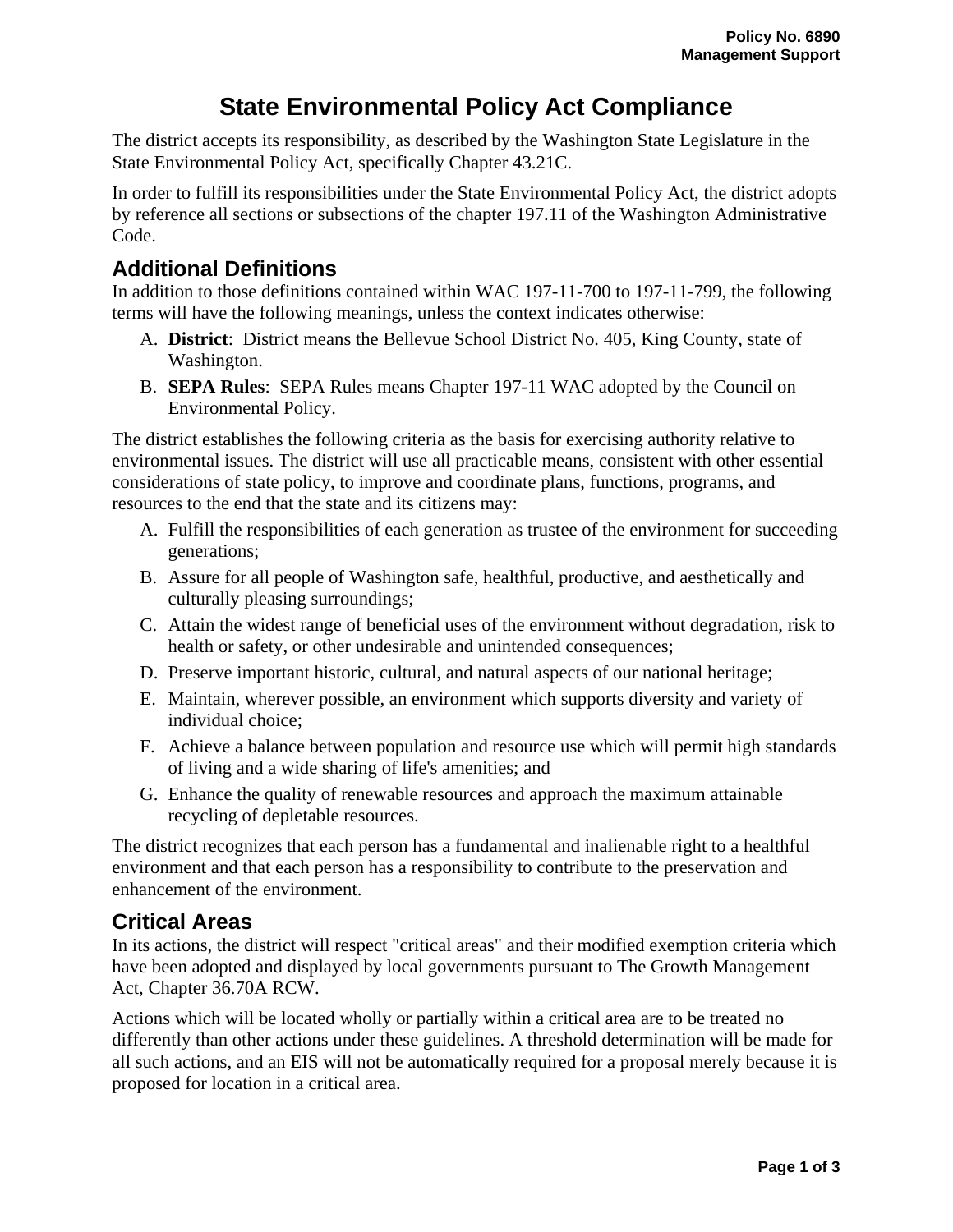# **State Environmental Policy Act Compliance**

The district accepts its responsibility, as described by the Washington State Legislature in the State Environmental Policy Act, specifically Chapter 43.21C.

In order to fulfill its responsibilities under the State Environmental Policy Act, the district adopts by reference all sections or subsections of the chapter 197.11 of the Washington Administrative Code.

# **Additional Definitions**

In addition to those definitions contained within WAC 197-11-700 to 197-11-799, the following terms will have the following meanings, unless the context indicates otherwise:

- A. **District**: District means the Bellevue School District No. 405, King County, state of Washington.
- B. **SEPA Rules**: SEPA Rules means Chapter 197-11 WAC adopted by the Council on Environmental Policy.

The district establishes the following criteria as the basis for exercising authority relative to environmental issues. The district will use all practicable means, consistent with other essential considerations of state policy, to improve and coordinate plans, functions, programs, and resources to the end that the state and its citizens may:

- A. Fulfill the responsibilities of each generation as trustee of the environment for succeeding generations;
- B. Assure for all people of Washington safe, healthful, productive, and aesthetically and culturally pleasing surroundings;
- C. Attain the widest range of beneficial uses of the environment without degradation, risk to health or safety, or other undesirable and unintended consequences;
- D. Preserve important historic, cultural, and natural aspects of our national heritage;
- E. Maintain, wherever possible, an environment which supports diversity and variety of individual choice;
- F. Achieve a balance between population and resource use which will permit high standards of living and a wide sharing of life's amenities; and
- G. Enhance the quality of renewable resources and approach the maximum attainable recycling of depletable resources.

The district recognizes that each person has a fundamental and inalienable right to a healthful environment and that each person has a responsibility to contribute to the preservation and enhancement of the environment.

### **Critical Areas**

In its actions, the district will respect "critical areas" and their modified exemption criteria which have been adopted and displayed by local governments pursuant to The Growth Management Act, Chapter 36.70A RCW.

Actions which will be located wholly or partially within a critical area are to be treated no differently than other actions under these guidelines. A threshold determination will be made for all such actions, and an EIS will not be automatically required for a proposal merely because it is proposed for location in a critical area.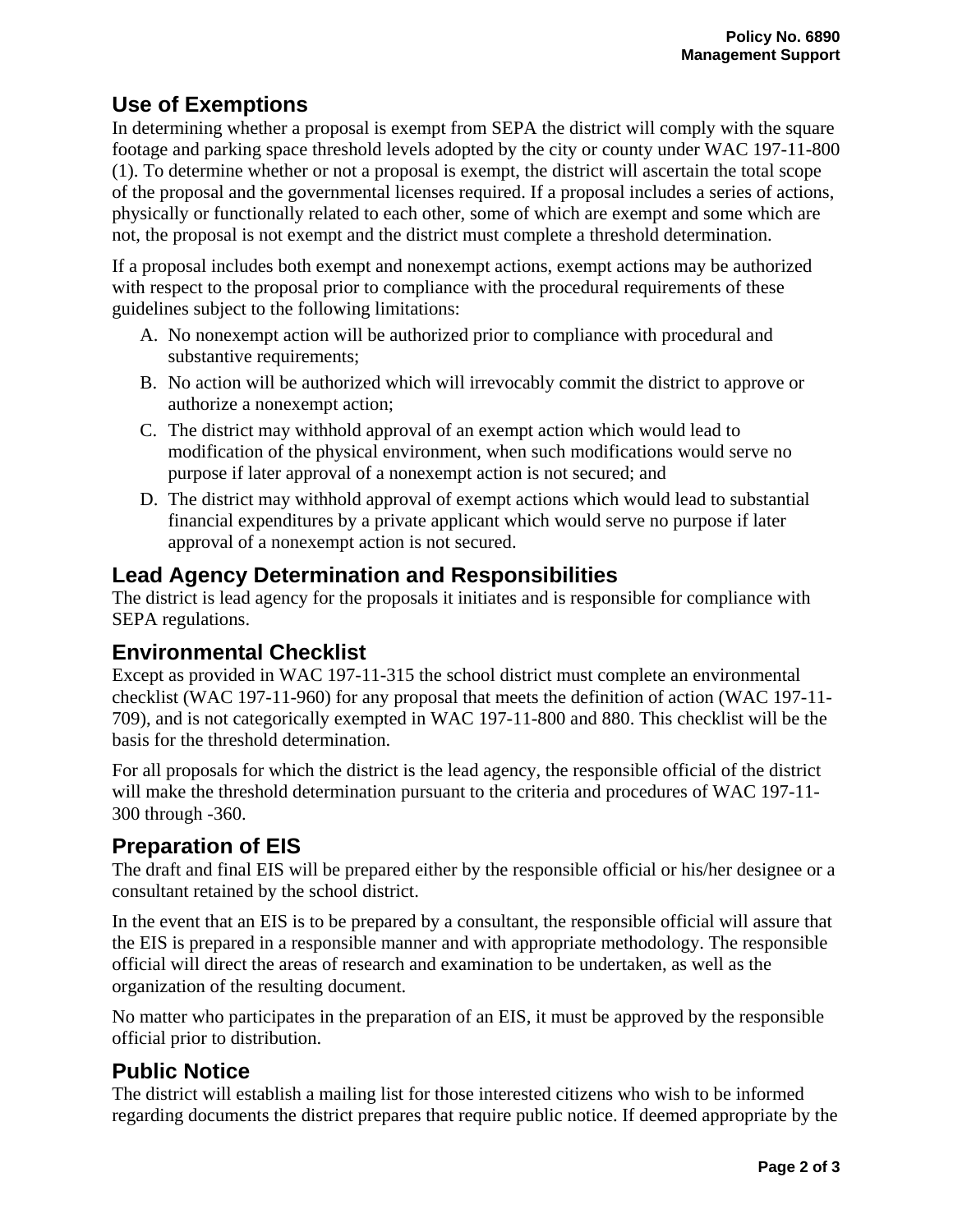## **Use of Exemptions**

In determining whether a proposal is exempt from SEPA the district will comply with the square footage and parking space threshold levels adopted by the city or county under WAC 197-11-800 (1). To determine whether or not a proposal is exempt, the district will ascertain the total scope of the proposal and the governmental licenses required. If a proposal includes a series of actions, physically or functionally related to each other, some of which are exempt and some which are not, the proposal is not exempt and the district must complete a threshold determination.

If a proposal includes both exempt and nonexempt actions, exempt actions may be authorized with respect to the proposal prior to compliance with the procedural requirements of these guidelines subject to the following limitations:

- A. No nonexempt action will be authorized prior to compliance with procedural and substantive requirements;
- B. No action will be authorized which will irrevocably commit the district to approve or authorize a nonexempt action;
- C. The district may withhold approval of an exempt action which would lead to modification of the physical environment, when such modifications would serve no purpose if later approval of a nonexempt action is not secured; and
- D. The district may withhold approval of exempt actions which would lead to substantial financial expenditures by a private applicant which would serve no purpose if later approval of a nonexempt action is not secured.

# **Lead Agency Determination and Responsibilities**

The district is lead agency for the proposals it initiates and is responsible for compliance with SEPA regulations.

### **Environmental Checklist**

Except as provided in WAC 197-11-315 the school district must complete an environmental checklist (WAC 197-11-960) for any proposal that meets the definition of action (WAC 197-11- 709), and is not categorically exempted in WAC 197-11-800 and 880. This checklist will be the basis for the threshold determination.

For all proposals for which the district is the lead agency, the responsible official of the district will make the threshold determination pursuant to the criteria and procedures of WAC 197-11- 300 through -360.

### **Preparation of EIS**

The draft and final EIS will be prepared either by the responsible official or his/her designee or a consultant retained by the school district.

In the event that an EIS is to be prepared by a consultant, the responsible official will assure that the EIS is prepared in a responsible manner and with appropriate methodology. The responsible official will direct the areas of research and examination to be undertaken, as well as the organization of the resulting document.

No matter who participates in the preparation of an EIS, it must be approved by the responsible official prior to distribution.

# **Public Notice**

The district will establish a mailing list for those interested citizens who wish to be informed regarding documents the district prepares that require public notice. If deemed appropriate by the